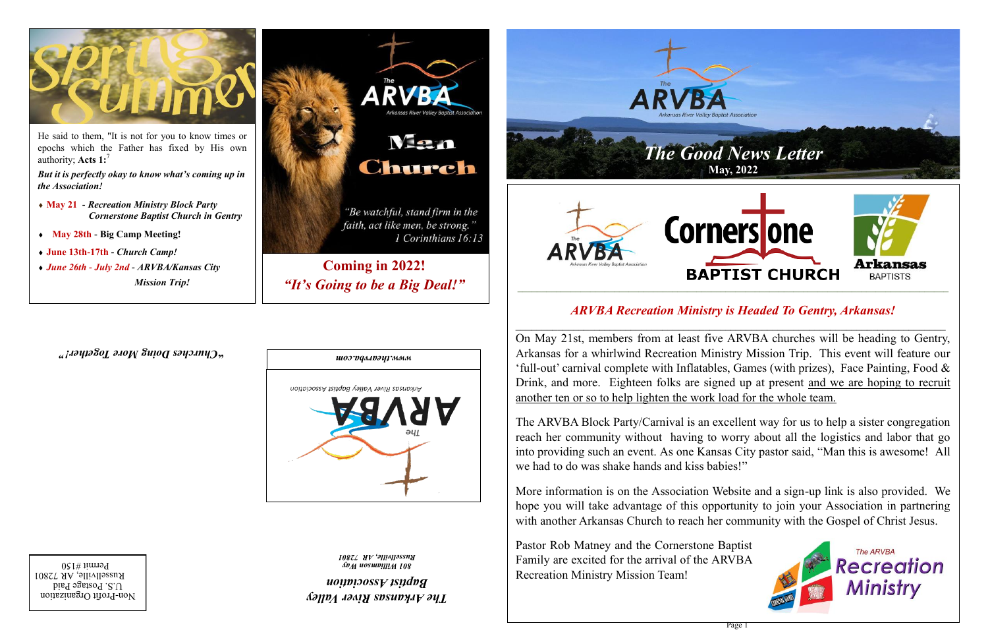**Coming in 2022!** *"It's Going to be a Big Deal!"*

> *The Arkansas River Valley Baptist Association*

Non-Profit Organization  $U.S.$  Postage Paid Russellville, AR 72801  $P$ ermit #150

*801 Williamson Way Russellville, AR 72801* 

*" Churches Doing More Together!* **"**





He said to them, "It is not for you to know times or epochs which the Father has fixed by His own authority; **Acts 1:**<sup>7</sup>

*But it is perfectly okay to know what's coming up in the Association!*

- **May 21** *- Recreation Ministry Block Party Cornerstone Baptist Church in Gentry*
- **May 28th - Big Camp Meeting!**
- **June 13th-17th -** *Church Camp!*
- *June 26th - July 2nd - ARVBA/Kansas City Mission Trip!*



1 Corinthians 16:13





#### *ARVBA Recreation Ministry is Headed To Gentry, Arkansas!*

On May 21st, members from at least five ARVBA churches will be heading to Gentry, Arkansas for a whirlwind Recreation Ministry Mission Trip. This event will feature our 'full-out' carnival complete with Inflatables, Games (with prizes), Face Painting, Food  $\&$ Drink, and more. Eighteen folks are signed up at present and we are hoping to recruit another ten or so to help lighten the work load for the whole team.

The ARVBA Block Party/Carnival is an excellent way for us to help a sister congregation reach her community without having to worry about all the logistics and labor that go into providing such an event. As one Kansas City pastor said, "Man this is awesome! All we had to do was shake hands and kiss babies!"

More information is on the Association Website and a sign-up link is also provided. We hope you will take advantage of this opportunity to join your Association in partnering with another Arkansas Church to reach her community with the Gospel of Christ Jesus.

Pastor Rob Matney and the Cornerstone Baptist Family are excited for the arrival of the ARVBA Recreation Ministry Mission Team!